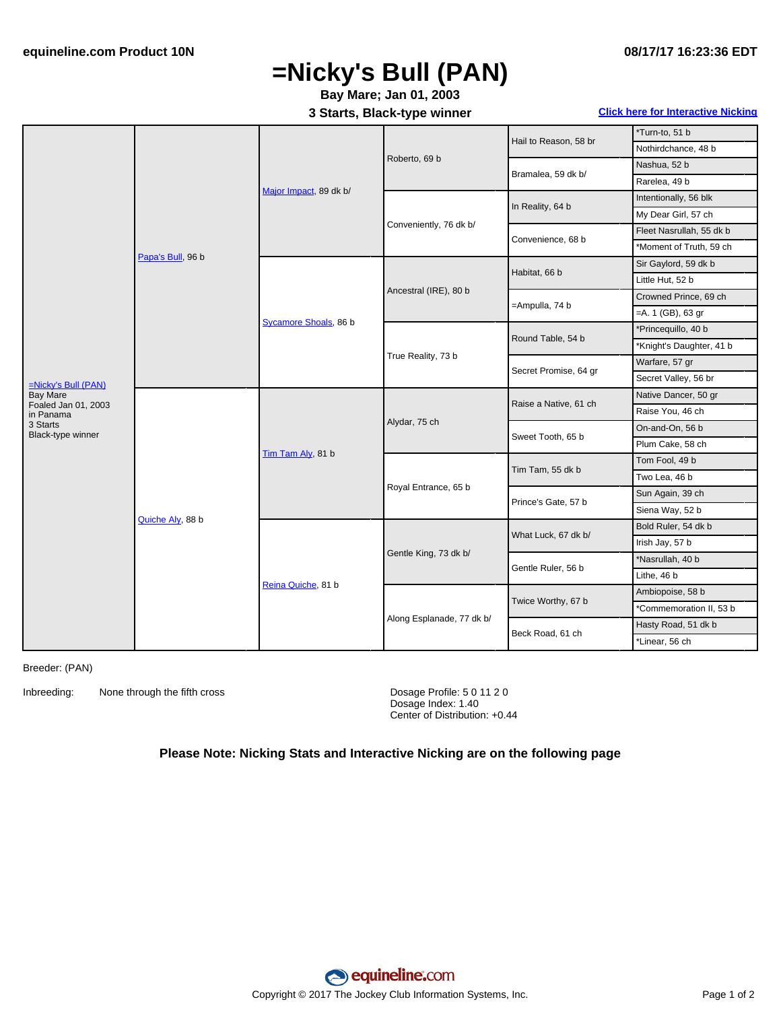## **=Nicky's Bull (PAN)**

### **Bay Mare; Jan 01, 2003**

**3 Starts, Black-type winner Click here for [Interactive](#page-1-0) Nicking**

|                                        | Papa's Bull, 96 b | Major Impact, 89 dk b/ | Roberto, 69 b             | Hail to Reason, 58 br | *Turn-to, 51 b           |
|----------------------------------------|-------------------|------------------------|---------------------------|-----------------------|--------------------------|
|                                        |                   |                        |                           |                       | Nothirdchance, 48 b      |
|                                        |                   |                        |                           | Bramalea, 59 dk b/    | Nashua, 52 b             |
|                                        |                   |                        |                           |                       | Rarelea, 49 b            |
|                                        |                   |                        | Conveniently, 76 dk b/    | In Reality, 64 b      | Intentionally, 56 blk    |
|                                        |                   |                        |                           |                       | My Dear Girl, 57 ch      |
|                                        |                   |                        |                           | Convenience, 68 b     | Fleet Nasrullah, 55 dk b |
|                                        |                   |                        |                           |                       | *Moment of Truth, 59 ch  |
|                                        |                   | Sycamore Shoals, 86 b  | Ancestral (IRE), 80 b     | Habitat, 66 b         | Sir Gaylord, 59 dk b     |
|                                        |                   |                        |                           |                       | Little Hut, 52 b         |
|                                        |                   |                        |                           | =Ampulla, 74 b        | Crowned Prince, 69 ch    |
|                                        |                   |                        |                           |                       | $=$ A. 1 (GB), 63 gr     |
|                                        |                   |                        | True Reality, 73 b        | Round Table, 54 b     | *Princequillo, 40 b      |
|                                        |                   |                        |                           |                       | *Knight's Daughter, 41 b |
|                                        |                   |                        |                           | Secret Promise, 64 gr | Warfare, 57 gr           |
| $=Nicky's Bull (PAN)$                  |                   |                        |                           |                       | Secret Valley, 56 br     |
| <b>Bay Mare</b><br>Foaled Jan 01, 2003 | Quiche Aly, 88 b  | Tim Tam Aly, 81 b      | Alydar, 75 ch             | Raise a Native, 61 ch | Native Dancer, 50 gr     |
| in Panama                              |                   |                        |                           |                       | Raise You, 46 ch         |
| 3 Starts<br>Black-type winner          |                   |                        |                           | Sweet Tooth, 65 b     | On-and-On, 56 b          |
|                                        |                   |                        |                           |                       | Plum Cake, 58 ch         |
|                                        |                   |                        | Royal Entrance, 65 b      | Tim Tam, 55 dk b      | Tom Fool, 49 b           |
|                                        |                   |                        |                           |                       | Two Lea, 46 b            |
|                                        |                   |                        |                           | Prince's Gate, 57 b   | Sun Again, 39 ch         |
|                                        |                   |                        |                           |                       | Siena Way, 52 b          |
|                                        |                   | Reina Quiche, 81 b     | Gentle King, 73 dk b/     | What Luck, 67 dk b/   | Bold Ruler, 54 dk b      |
|                                        |                   |                        |                           |                       | Irish Jay, 57 b          |
|                                        |                   |                        |                           | Gentle Ruler, 56 b    | *Nasrullah, 40 b         |
|                                        |                   |                        |                           |                       | Lithe, 46 b              |
|                                        |                   |                        | Along Esplanade, 77 dk b/ | Twice Worthy, 67 b    | Ambiopoise, 58 b         |
|                                        |                   |                        |                           |                       | *Commemoration II, 53 b  |
|                                        |                   |                        |                           | Beck Road, 61 ch      | Hasty Road, 51 dk b      |
|                                        |                   |                        |                           |                       | *Linear, 56 ch           |

Breeder: (PAN)

Inbreeding: None through the fifth cross Dosage Profile: 5 0 11 2 0

Dosage Index: 1.40 Center of Distribution: +0.44

#### **Please Note: Nicking Stats and Interactive Nicking are on the following page**